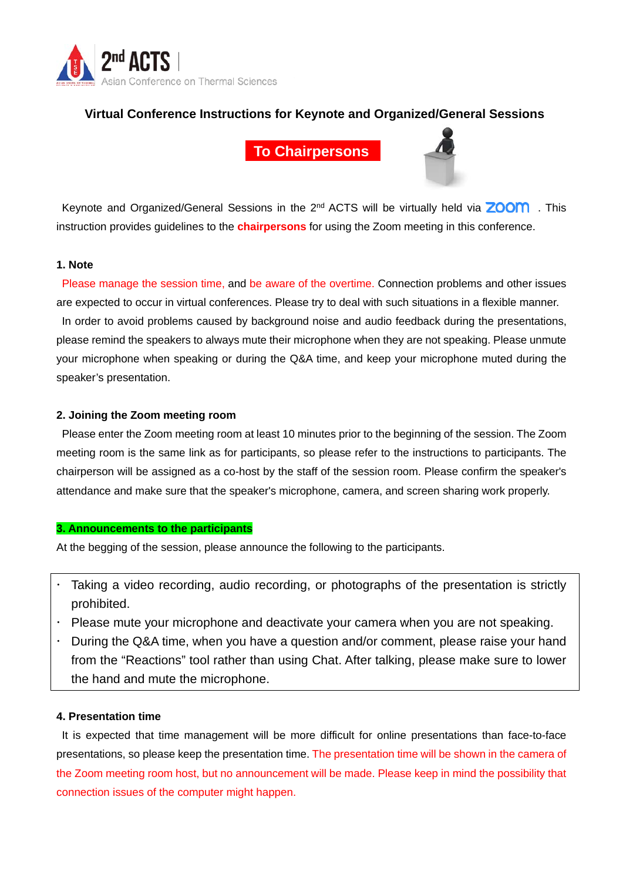

# **Virtual Conference Instructions for Keynote and Organized/General Sessions**

**To Chairpersons**



Keynote and Organized/General Sessions in the  $2^{nd}$  ACTS will be virtually held via **ZOOM**. This instruction provides guidelines to the **chairpersons** for using the Zoom meeting in this conference.

# **1. Note**

Please manage the session time, and be aware of the overtime. Connection problems and other issues are expected to occur in virtual conferences. Please try to deal with such situations in a flexible manner. In order to avoid problems caused by background noise and audio feedback during the presentations, please remind the speakers to always mute their microphone when they are not speaking. Please unmute your microphone when speaking or during the Q&A time, and keep your microphone muted during the speaker's presentation.

# **2. Joining the Zoom meeting room**

Please enter the Zoom meeting room at least 10 minutes prior to the beginning of the session. The Zoom meeting room is the same link as for participants, so please refer to the instructions to participants. The chairperson will be assigned as a co-host by the staff of the session room. Please confirm the speaker's attendance and make sure that the speaker's microphone, camera, and screen sharing work properly.

### **3. Announcements to the participants**

At the begging of the session, please announce the following to the participants.

- Taking a video recording, audio recording, or photographs of the presentation is strictly prohibited.
- Please mute your microphone and deactivate your camera when you are not speaking.
- During the Q&A time, when you have a question and/or comment, please raise your hand from the "Reactions" tool rather than using Chat. After talking, please make sure to lower the hand and mute the microphone.

## **4. Presentation time**

It is expected that time management will be more difficult for online presentations than face-to-face presentations, so please keep the presentation time. The presentation time will be shown in the camera of the Zoom meeting room host, but no announcement will be made. Please keep in mind the possibility that connection issues of the computer might happen.